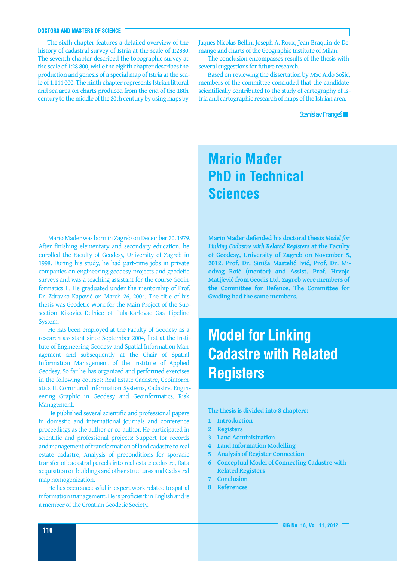#### **DOCTORS AND MASTERS OF SCIENCE**

The sixth chapter features a detailed overview of the history of cadastral survey of Istria at the scale of 1:2880. The seventh chapter described the topographic survey at the scale of 1:28 800, while the eighth chapter describes the production and genesis of a special map of Istria at the scale of 1:144 000. The ninth chapter represents Istrian littoral and sea area on charts produced from the end of the 18th century to the middle of the 20th century by using maps by

Jaques Nicolas Bellin, Joseph A. Roux, Jean Braquin de Demange and charts of the Geographic Institute of Milan.

The conclusion encompasses results of the thesis with several suggestions for future research.

Based on reviewing the dissertation by MSc Aldo Sošić, members of the committee concluded that the candidate scientifically contributed to the study of cartography of Istria and cartographic research of maps of the Istrian area.

*Stanislav Frangeš*

### **Mario Mađer PhD in Technical Sciences**

Mario Mađer was born in Zagreb on December 20, 1979. After finishing elementary and secondary education, he enrolled the Faculty of Geodesy, University of Zagreb in 1998. During his study, he had part-time jobs in private companies on engineering geodesy projects and geodetic surveys and was a teaching assistant for the course Geoinformatics II. He graduated under the mentorship of Prof. Dr. Zdravko Kapović on March 26, 2004. The title of his thesis was Geodetic Work for the Main Project of the Subsection Kikovica-Delnice of Pula-Karlovac Gas Pipeline System.

He has been employed at the Faculty of Geodesy as a research assistant since September 2004, first at the Institute of Engineering Geodesy and Spatial Information Management and subsequently at the Chair of Spatial Information Management of the Institute of Applied Geodesy. So far he has organized and performed exercises in the following courses: Real Estate Cadastre, Geoinformatics II, Communal Information Systems, Cadastre, Engineering Graphic in Geodesy and Geoinformatics, Risk Management.

He published several scientific and professional papers in domestic and international journals and conference proceedings as the author or co-author. He participated in scientific and professional projects: Support for records and management of transformation of land cadastre to real estate cadastre, Analysis of preconditions for sporadic transfer of cadastral parcels into real estate cadastre, Data acquisition on buildings and other structures and Cadastral map homogenization.

He has been successful in expert work related to spatial information management. He is proficient in English and is a member of the Croatian Geodetic Society.

**Mario Mađer defended his doctoral thesis** *Model for Linking Cadastre with Related Registers* **at the Faculty of Geodesy, University of Zagreb on November 5, 2012. Prof. Dr. Siniša Mastelić Ivić, Prof. Dr. Miodrag Roić (mentor) and Assist. Prof. Hrvoje Matijević from Geodis Ltd. Zagreb were members of the Committee for Defence. The Committee for Grading had the same members.**

## **Model for Linking Cadastre with Related Registers**

**The thesis is divided into 8 chapters:**

- **1 Introduction**
- **2 Registers**
- **3 Land Administration**
- **4 Land Information Modelling**
- **5 Analysis of Register Connection**
- **6 Conceptual Model of Connecting Cadastre with Related Registers**
- **7 Conclusion**
- **8 References**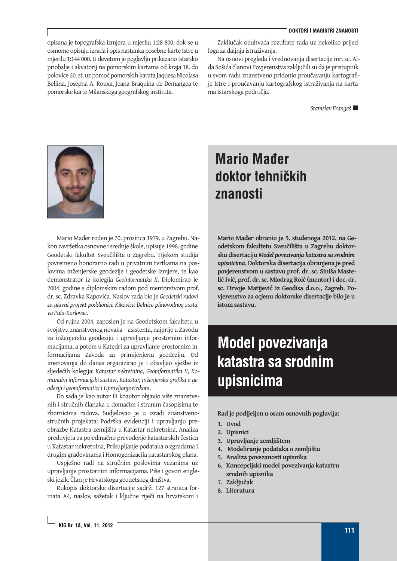opisana je topografska izmjera u mjerilu 1:28 800, dok se u osmome opisuju izrada i opis nastanka posebne karte Istre u mjerilu 1:144 000. U devetom je poglavlju prikazano istarsko priobalje i akvatorij na pomorskim kartama od kraja 18. do polovice 20. st. uz pomoć pomorskih karata Jaquesa Nicolasa Bellina, Josepha A. Rouxa, Jeana Braquina de Demangea te pomorske karte Milanskoga geografskog instituta.

Zaključak obuhvaća rezultate rada uz nekoliko prijedloga za daljnja istraživanja.

Na osnovi pregleda i vrednovanja disertacije mr. sc. Alda Sošića članovi Povjerenstva zaključili su da je pristupnik u svom radu znanstveno pridonio proučavanju kartografije Istre i proučavanju kartografskog istraživanja na kartama Istarskoga područja.

*Stanislav Frangeš*



Mario Mađer rođen je 20. prosinca 1979. u Zagrebu. Nakon završetka osnovne i srednje škole, upisuje 1998. godine Geodetski fakultet Sveučilišta u Zagrebu. Tijekom studija povremeno honorarno radi u privatnim tvrtkama na poslovima inženjerske geodezije i geodetske izmjere, te kao demonstrator iz kolegija *Geoinformatika II*. Diplomirao je 2004. godine s diplomskim radom pod mentorstvom prof. dr. sc. Zdravka Kapovića. Naslov rada bio je *Geodetski radovi za glavni projekt poddionice Kikovica-Delnice plinovodnog sustava Pula-Karlovac*.

Od rujna 2004. zaposlen je na Geodetskom fakultetu u svojstvu znanstvenog novaka – asistenta, najprije u Zavodu za inženjersku geodeziju i upravljanje prostornim informacijama, a potom u Katedri za upravljanje prostornim informacijama Zavoda za primijenjenu geodeziju. Od imenovanja do danas organizirao je i obavljao vježbe iz sljedećih kolegija: *Katastar nekretnina*, *Geoinformatika II*, *Komunalni informacijski sustavi*, *Katastar*, *Inženjerska grafika u geodeziji i geoinformatici* i *Upravljanje rizikom*.

Do sada je kao autor ili koautor objavio više znanstvenih i stručnih članaka u domaćim i stranim časopisima te zbornicima radova. Sudjelovao je u izradi znanstvenostručnih projekata: Podrška evidenciji i upravljanju preobrazbe Katastra zemljišta u Katastar nekretnina, Analiza preduvjeta za pojedinačno prevođenje katastarskih čestica u Katastar nekretnina, Prikupljanje podataka o zgradama i drugim građevinama i Homogenizacija katastarskog plana.

Uspješno radi na stručnim poslovima vezanima uz upravljanje prostornim informacijama. Piše i govori engleski jezik. Član je Hrvatskoga geodetskog društva.

Rukopis doktorske disertacije sadrži 127 stranica formata A4, naslov, sažetak i ključne riječi na hrvatskom i

### **Mario Mader** doktor tehničkih znanosti

**Mario Mađer obranio je 5. studenoga 2012. na Geodetskom fakultetu Sveučilišta u Zagrebu doktorsku disertaciju** *Model povezivanja katastra sa srodnim upisnicima***. Doktorska disertacija obranjena je pred povjerenstvom u sastavu prof. dr. sc. Siniša Mastelić Ivić, prof. dr. sc. Miodrag Roić (mentor) i doc. dr. sc. Hrvoje Matijević iz Geodisa d.o.o., Zagreb. Povjerenstvo za ocjenu doktorske disertacije bilo je u istom sastavu.**

# **Model povezivanja** katastra sa srodnim upisnicima

**Rad je podijeljen u osam osnovnih poglavlja:**

- **1. Uvod**
- **2. Upisnici**
- **3. Upravljanje zemljištem**
- **4. Modeliranje podataka o zemljištu**
- **5. Analiza povezanosti upisnika**
- **6. Koncepcijski model povezivanja katastru srodnih upisnika**
- **7. Zaključak**
- **8. Literatura**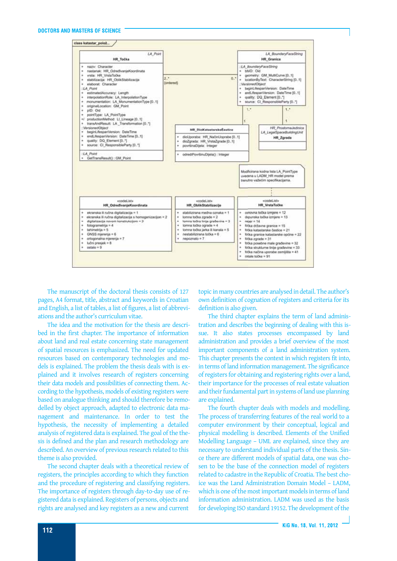

The manuscript of the doctoral thesis consists of 127 pages, A4 format, title, abstract and keywords in Croatian and English, a list of tables, a list of figures, a list of abbreviations and the author's curriculum vitae.

The idea and the motivation for the thesis are described in the first chapter. The importance of information about land and real estate concerning state management of spatial resources is emphasized. The need for updated resources based on contemporary technologies and models is explained. The problem the thesis deals with is explained and it involves research of registers concerning their data models and possibilities of connecting them. According to the hypothesis, models of existing registers were based on analogue thinking and should therefore be remodelled by object approach, adapted to electronic data management and maintenance. In order to test the hypothesis, the necessity of implementing a detailed analysis of registered data is explained. The goal of the thesis is defined and the plan and research methodology are described. An overview of previous research related to this theme is also provided.

The second chapter deals with a theoretical review of registers, the principles according to which they function and the procedure of registering and classifying registers. The importance of registers through day-to-day use of registered data is explained. Registers of persons, objects and rights are analysed and key registers as a new and current

topic in many countries are analysed in detail. The author's own definition of cognation of registers and criteria for its definition is also given.

The third chapter explains the term of land administration and describes the beginning of dealing with this issue. It also states processes encompassed by land administration and provides a brief overview of the most important components of a land administration system. This chapter presents the context in which registers fit into, in terms of land information management. The significance of registers for obtaining and registering rights over a land, their importance for the processes of real estate valuation and their fundamental part in systems of land use planning are explained.

The fourth chapter deals with models and modelling. The process of transferring features of the real world to a computer environment by their conceptual, logical and physical modelling is described. Elements of the Unified Modelling Language – UML are explained, since they are necessary to understand individual parts of the thesis. Since there are different models of spatial data, one was chosen to be the base of the connection model of registers related to cadastre in the Republic of Croatia. The best choice was the Land Administration Domain Model – LADM, which is one of the most important models in terms of land information administration. LADM was used as the basis for developing ISO standard 19152. The development of the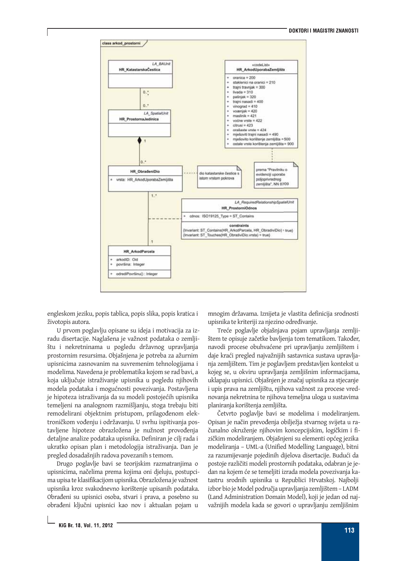

engleskom jeziku, popis tablica, popis slika, popis kratica i životopis autora.

U prvom poglavlju opisane su ideja i motivacija za izradu disertacije. Naglašena je važnost podataka o zemljištu i nekretninama u pogledu državnog upravljanja prostornim resursima. Objašnjena je potreba za ažurnim upisnicima zasnovanim na suvremenim tehnologijama i modelima. Navedena je problematika kojom se rad bavi, a koja uključuje istraživanje upisnika u pogledu njihovih modela podataka i mogućnosti povezivanja. Postavljena je hipoteza istraživanja da su modeli postojećih upisnika temeljeni na analognom razmišljanju, stoga trebaju biti remodelirani objektnim pristupom, prilagođenom elektroničkom vođenju i održavanju. U svrhu ispitivanja postavljene hipoteze obrazložena je nužnost provođenja detaljne analize podataka upisnika. Definiran je cilj rada i ukratko opisan plan i metodologija istraživanja. Dan je pregled dosadašnjih radova povezanih s temom.

Drugo poglavlje bavi se teorijskim razmatranjima o upisnicima, načelima prema kojima oni djeluju, postupcima upisa te klasifikacijom upisnika. Obrazložena je važnost upisnika kroz svakodnevno korištenje upisanih podataka. Obrađeni su upisnici osoba, stvari i prava, a posebno su obrađeni ključni upisnici kao nov i aktualan pojam u

mnogim državama. Iznijeta je vlastita definicija srodnosti upisnika te kriteriji za njezino određivanje.

Treće poglavlje objašnjava pojam upravljanja zemljištem te opisuje začetke bavljenja tom tematikom. Također, navodi procese obuhvaćene pri upravljanju zemljištem i daje kraći pregled najvažnijih sastavnica sustava upravljanja zemljištem. Tim je poglavljem predstavljen kontekst u kojeg se, u okviru upravljanja zemljišnim informacijama, uklapaju upisnici. Objašnjen je značaj upisnika za stjecanje i upis prava na zemljištu, njihova važnost za procese vrednovanja nekretnina te njihova temeljna uloga u sustavima planiranja korištenja zemljišta.

Četvrto poglavlje bavi se modelima i modeliranjem. Opisan je način prevođenja obilježja stvarnog svijeta u računalno okruženje njihovim koncepcijskim, logičkim i fizičkim modeliranjem. Objašnjeni su elementi općeg jezika modeliranja – UML-a (Unified Modelling Language), bitni za razumijevanje pojedinih dijelova disertacije. Budući da postoje različiti modeli prostornih podataka, odabran je jedan na kojem će se temeljiti izrada modela povezivanja katastru srodnih upisnika u Republici Hrvatskoj. Najbolji izbor bio je Model područja upravljanja zemljištem – LADM (Land Administration Domain Model), koji je jedan od najvažnijih modela kada se govori o upravljanju zemljišnim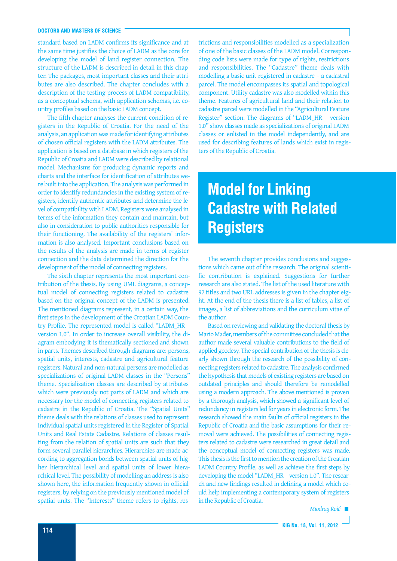### **DOCTORS AND MASTERS OF SCIENCE**

standard based on LADM confirms its significance and at the same time justifies the choice of LADM as the core for developing the model of land register connection. The structure of the LADM is described in detail in this chapter. The packages, most important classes and their attributes are also described. The chapter concludes with a description of the testing process of LADM compatibility, as a conceptual schema, with application schemas, i.e. country profiles based on the basic LADM concept.

The fifth chapter analyses the current condition of registers in the Republic of Croatia. For the need of the analysis, an application was made for identifying attributes of chosen official registers with the LADM attributes. The application is based on a database in which registers of the Republic of Croatia and LADM were described by relational model. Mechanisms for producing dynamic reports and charts and the interface for identification of attributes were built into the application. The analysis was performed in order to identify redundancies in the existing system of registers, identify authentic attributes and determine the level of compatibility with LADM. Registers were analysed in terms of the information they contain and maintain, but also in consideration to public authorities responsible for their functioning. The availability of the registers' information is also analysed. Important conclusions based on the results of the analysis are made in terms of register connection and the data determined the direction for the development of the model of connecting registers.

The sixth chapter represents the most important contribution of the thesis. By using UML diagrams, a conceptual model of connecting registers related to cadastre based on the original concept of the LADM is presented. The mentioned diagrams represent, in a certain way, the first steps in the development of the Croatian LADM Country Profile. The represented model is called "LADM\_HR – version 1.0". In order to increase overall visibility, the diagram embodying it is thematically sectioned and shown in parts. Themes described through diagrams are: persons, spatial units, interests, cadastre and agricultural feature registers. Natural and non-natural persons are modelled as specializations of original LADM classes in the "Persons" theme. Specialization classes are described by attributes which were previously not parts of LADM and which are necessary for the model of connecting registers related to cadastre in the Republic of Croatia. The "Spatial Units" theme deals with the relations of classes used to represent individual spatial units registered in the Register of Spatial Units and Real Estate Cadastre. Relations of classes resulting from the relation of spatial units are such that they form several parallel hierarchies. Hierarchies are made according to aggregation bonds between spatial units of higher hierarchical level and spatial units of lower hierarchical level. The possibility of modelling an address is also shown here, the information frequently shown in official registers, by relying on the previously mentioned model of spatial units. The "Interests" theme refers to rights, restrictions and responsibilities modelled as a specialization of one of the basic classes of the LADM model. Corresponding code lists were made for type of rights, restrictions and responsibilities. The "Cadastre" theme deals with modelling a basic unit registered in cadastre – a cadastral parcel. The model encompasses its spatial and topological component. Utility cadastre was also modelled within this theme. Features of agricultural land and their relation to cadastre parcel were modelled in the "Agricultural Feature Register" section. The diagrams of "LADM\_HR – version 1.0" show classes made as specializations of original LADM classes or enlisted in the model independently, and are used for describing features of lands which exist in registers of the Republic of Croatia.

## **Model for Linking Cadastre with Related Registers**

The seventh chapter provides conclusions and suggestions which came out of the research. The original scientific contribution is explained. Suggestions for further research are also stated. The list of the used literature with 97 titles and two URL addresses is given in the chapter eight. At the end of the thesis there is a list of tables, a list of images, a list of abbreviations and the curriculum vitae of the author.

Based on reviewing and validating the doctoral thesis by Mario Mađer, members of the committee concluded that the author made several valuable contributions to the field of applied geodesy. The special contribution of the thesis is clearly shown through the research of the possibility of connecting registers related to cadastre. The analysis confirmed the hypothesis that models of existing registers are based on outdated principles and should therefore be remodelled using a modern approach. The above mentioned is proven by a thorough analysis, which showed a significant level of redundancy in registers led for years in electronic form. The research showed the main faults of official registers in the Republic of Croatia and the basic assumptions for their removal were achieved. The possibilities of connecting registers related to cadastre were researched in great detail and the conceptual model of connecting registers was made. This thesis is the first to mention the creation of the Croatian LADM Country Profile, as well as achieve the first steps by developing the model "LADM\_HR – version 1.0". The research and new findings resulted in defining a model which could help implementing a contemporary system of registers in the Republic of Croatia.